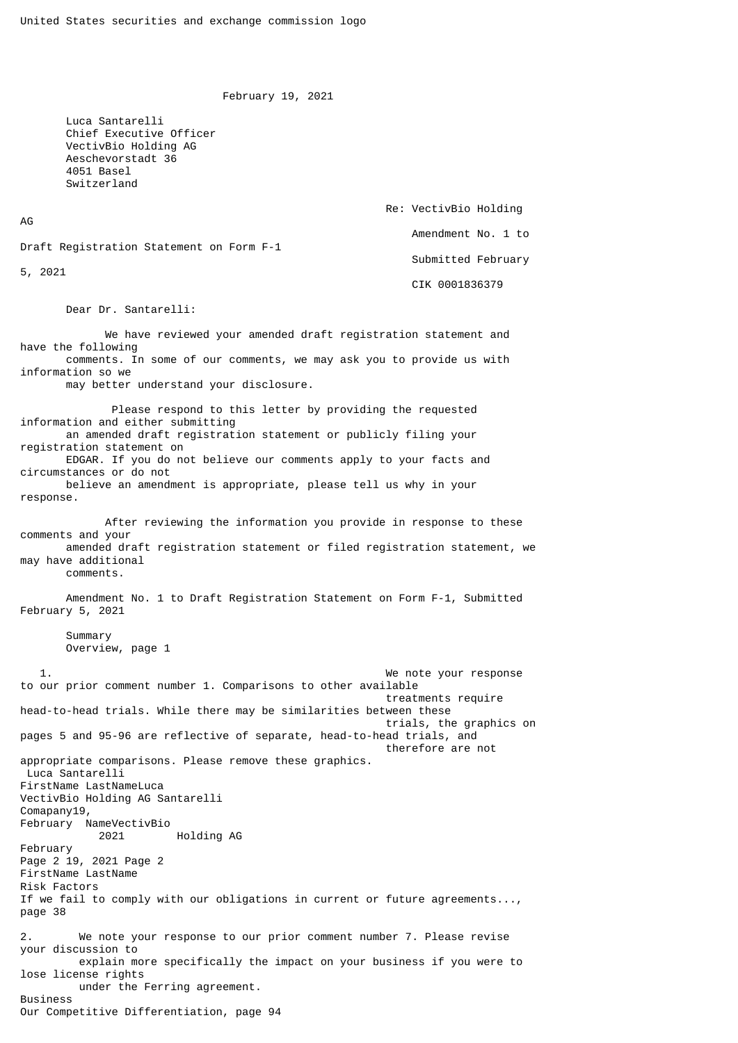February 19, 2021

 Luca Santarelli Chief Executive Officer VectivBio Holding AG Aeschevorstadt 36 4051 Basel Switzerland

AG

Re: VectivBio Holding

Amendment No. 1 to

Draft Registration Statement on Form F-1

5, 2021

 Submitted February CIK 0001836379

Dear Dr. Santarelli:

 We have reviewed your amended draft registration statement and have the following comments. In some of our comments, we may ask you to provide us with information so we may better understand your disclosure. Please respond to this letter by providing the requested information and either submitting an amended draft registration statement or publicly filing your registration statement on EDGAR. If you do not believe our comments apply to your facts and circumstances or do not believe an amendment is appropriate, please tell us why in your response. After reviewing the information you provide in response to these comments and your amended draft registration statement or filed registration statement, we may have additional comments. Amendment No. 1 to Draft Registration Statement on Form F-1, Submitted February 5, 2021 Summary Overview, page 1 1. We note your response to our prior comment number 1. Comparisons to other available treatments require head-to-head trials. While there may be similarities between these trials, the graphics on pages 5 and 95-96 are reflective of separate, head-to-head trials, and

 therefore are not appropriate comparisons. Please remove these graphics. Luca Santarelli FirstName LastNameLuca VectivBio Holding AG Santarelli Comapany19, February NameVectivBio 2021 Holding AG February Page 2 19, 2021 Page 2 FirstName LastName Risk Factors If we fail to comply with our obligations in current or future agreements..., page 38 2. We note your response to our prior comment number 7. Please revise your discussion to explain more specifically the impact on your business if you were to lose license rights under the Ferring agreement. Business Our Competitive Differentiation, page 94